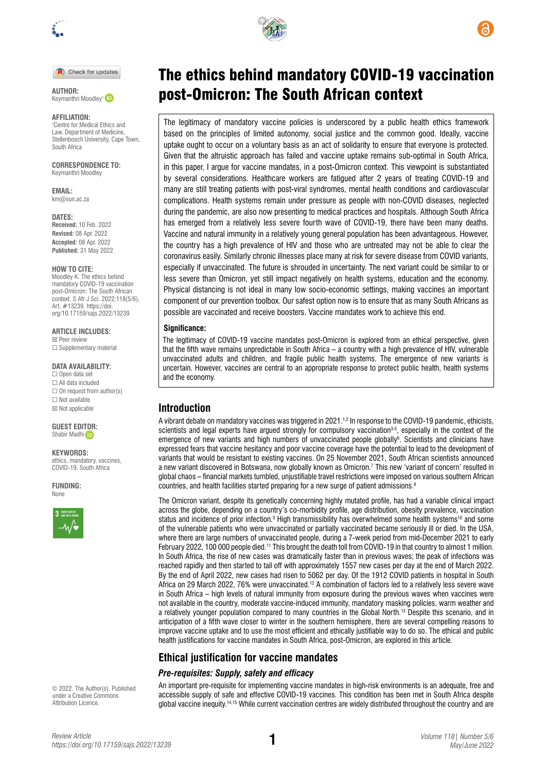

Check for updates

Keymanthri Moodley<sup>1</sup>

#### **AFFILIATION:**

1 Centre for Medical Ethics and Law, Department of Medicine, Stellenbosch University, Cape Town, South Africa

**CORRESPONDENCE TO:**  Keymanthri Moodley

**EMAIL:**  [km@sun.ac.za](mailto:km@sun.ac.za)

**DATES: Received:** 10 Feb. 2022 **Revised:** 08 Apr. 2022 **Accepted:** 08 Apr. 2022 **Published:** 31 May 2022

#### **HOW TO CITE:**

Moodley K. The ethics behind mandatory COVID-19 vaccination post-Omicron: The South African context. S Afr J Sci. 2022;118(5/6), Art. #13239. [https://doi.](https://doi.org/10.17159/sajs.2022/13239) [org/10.17159/sajs.2022/13239](https://doi.org/10.17159/sajs.2022/13239)

**ARTICLE INCLUDES:** ☒ Peer review

□ Supplementary material

**DATA AVAILABILITY:**

☐ Open data set ☐ All data included  $\Box$  On request from author(s) ☐ Not available ☒ Not applicable

**GUEST ED[ITOR](https://orcid.org/0000-0002-7629-0636):**  Shabir Madhi (i)

**KEYWORDS:**  ethics, mandatory, vaccines, COVID-19, South Africa

**FUNDING:**  None



© 2022. The Author(s). Published under a [Creative Commons](https://creativecommons.org/licenses/by/4.0/)  [Attribution Licence.](https://creativecommons.org/licenses/by/4.0/)



# The ethics behind mandatory COVID-19 vaccination AUTHOR: **AUTHOR: Context ADIG ACTES AUTHOR: CONTEXT**

The legitimacy of mandatory vaccine policies is underscored by a public health ethics framework based on the principles of limited autonomy, social justice and the common good. Ideally, vaccine uptake ought to occur on a voluntary basis as an act of solidarity to ensure that everyone is protected. Given that the altruistic approach has failed and vaccine uptake remains sub-optimal in South Africa, in this paper, I argue for vaccine mandates, in a post-Omicron context. This viewpoint is substantiated by several considerations. Healthcare workers are fatigued after 2 years of treating COVID-19 and many are still treating patients with post-viral syndromes, mental health conditions and cardiovascular complications. Health systems remain under pressure as people with non-COVID diseases, neglected during the pandemic, are also now presenting to medical practices and hospitals. Although South Africa has emerged from a relatively less severe fourth wave of COVID-19, there have been many deaths. Vaccine and natural immunity in a relatively young general population has been advantageous. However, the country has a high prevalence of HIV and those who are untreated may not be able to clear the coronavirus easily. Similarly chronic illnesses place many at risk for severe disease from COVID variants, especially if unvaccinated. The future is shrouded in uncertainty. The next variant could be similar to or less severe than Omicron, yet still impact negatively on health systems, education and the economy. Physical distancing is not ideal in many low socio-economic settings, making vaccines an important component of our prevention toolbox. Our safest option now is to ensure that as many South Africans as possible are vaccinated and receive boosters. Vaccine mandates work to achieve this end.

#### **Significance:**

The legitimacy of COVID-19 vaccine mandates post-Omicron is explored from an ethical perspective, given that the fifth wave remains unpredictable in South Africa – a country with a high prevalence of HIV, vulnerable unvaccinated adults and children, and fragile public health systems. The emergence of new variants is uncertain. However, vaccines are central to an appropriate response to protect public health, health systems and the economy.

## **Introduction**

A vibrant debate on mandatory vaccines was triggered in 2021.<sup>1,2</sup> In response to the COVID-19 pandemic, ethicists, scientists and legal experts have argued strongly for compulsory vaccination<sup>3-5</sup>, especially in the context of the emergence of new variants and high numbers of unvaccinated people globally<sup>6</sup>. Scientists and clinicians have expressed fears that vaccine hesitancy and poor vaccine coverage have the potential to lead to the development of variants that would be resistant to existing vaccines. On 25 November 2021, South African scientists announced a new variant discovered in Botswana, now globally known as Omicron.7 This new 'variant of concern' resulted in global chaos – financial markets tumbled, unjustifiable travel restrictions were imposed on various southern African countries, and health facilities started preparing for a new surge of patient admissions.<sup>8</sup>

The Omicron variant, despite its genetically concerning highly mutated profile, has had a variable clinical impact across the globe, depending on a country's co-morbidity profile, age distribution, obesity prevalence, vaccination status and incidence of prior infection.<sup>9</sup> High transmissibility has overwhelmed some health systems<sup>10</sup> and some of the vulnerable patients who were unvaccinated or partially vaccinated became seriously ill or died. In the USA, where there are large numbers of unvaccinated people, during a 7-week period from mid-December 2021 to early February 2022, 100 000 people died.<sup>11</sup> This brought the death toll from COVID-19 in that country to almost 1 million. In South Africa, the rise of new cases was dramatically faster than in previous waves; the peak of infections was reached rapidly and then started to tail off with approximately 1557 new cases per day at the end of March 2022. By the end of April 2022, new cases had risen to 5062 per day. Of the 1912 COVID patients in hospital in South Africa on 29 March 2022, 76% were unvaccinated.12 A combination of factors led to a relatively less severe wave in South Africa – high levels of natural immunity from exposure during the previous waves when vaccines were not available in the country, moderate vaccine-induced immunity, mandatory masking policies, warm weather and a relatively younger population compared to many countries in the Global North.13 Despite this scenario, and in anticipation of a fifth wave closer to winter in the southern hemisphere, there are several compelling reasons to improve vaccine uptake and to use the most efficient and ethically justifiable way to do so. The ethical and public health justifications for vaccine mandates in South Africa, post-Omicron, are explored in this article.

## **Ethical justification for vaccine mandates**

### *Pre-requisites: Supply, safety and efficacy*

An important pre-requisite for implementing vaccine mandates in high-risk environments is an adequate, free and accessible supply of safe and effective COVID-19 vaccines. This condition has been met in South Africa despite global vaccine inequity.<sup>14,15</sup> While current vaccination centres are widely distributed throughout the country and are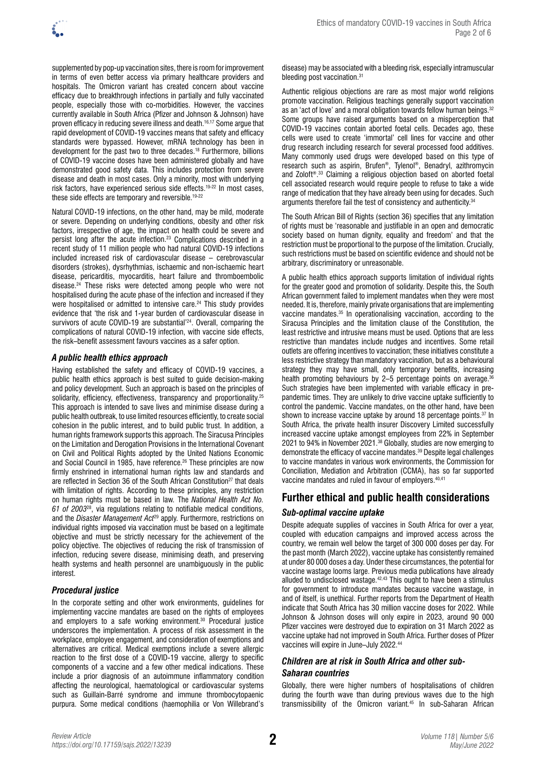

supplemented by pop-up vaccination sites, there is room for improvement in terms of even better access via primary healthcare providers and hospitals. The Omicron variant has created concern about vaccine efficacy due to breakthrough infections in partially and fully vaccinated people, especially those with co-morbidities. However, the vaccines currently available in South Africa (Pfizer and Johnson & Johnson) have proven efficacy in reducing severe illness and death.16,17 Some argue that rapid development of COVID-19 vaccines means that safety and efficacy standards were bypassed. However, mRNA technology has been in development for the past two to three decades.18 Furthermore, billions of COVID-19 vaccine doses have been administered globally and have demonstrated good safety data. This includes protection from severe disease and death in most cases. Only a minority, most with underlying risk factors, have experienced serious side effects.19-22 In most cases, these side effects are temporary and reversible.<sup>19-22</sup>

Natural COVID-19 infections, on the other hand, may be mild, moderate or severe. Depending on underlying conditions, obesity and other risk factors, irrespective of age, the impact on health could be severe and persist long after the acute infection.23 Complications described in a recent study of 11 million people who had natural COVID-19 infections included increased risk of cardiovascular disease – cerebrovascular disorders (strokes), dysrhythmias, ischaemic and non-ischaemic heart disease, pericarditis, myocarditis, heart failure and thromboembolic disease.24 These risks were detected among people who were not hospitalised during the acute phase of the infection and increased if they were hospitalised or admitted to intensive care.<sup>24</sup> This study provides evidence that 'the risk and 1-year burden of cardiovascular disease in survivors of acute COVID-19 are substantial'<sup>24</sup>. Overall, comparing the complications of natural COVID-19 infection, with vaccine side effects, the risk–benefit assessment favours vaccines as a safer option.

### *A public health ethics approach*

Having established the safety and efficacy of COVID-19 vaccines, a public health ethics approach is best suited to guide decision-making and policy development. Such an approach is based on the principles of solidarity, efficiency, effectiveness, transparency and proportionality.<sup>25</sup> This approach is intended to save lives and minimise disease during a public health outbreak, to use limited resources efficiently, to create social cohesion in the public interest, and to build public trust. In addition, a human rights framework supports this approach. The Siracusa Principles on the Limitation and Derogation Provisions in the International Covenant on Civil and Political Rights adopted by the United Nations Economic and Social Council in 1985, have reference.<sup>26</sup> These principles are now firmly enshrined in international human rights law and standards and are reflected in Section 36 of the South African Constitution<sup>27</sup> that deals with limitation of rights. According to these principles, any restriction on human rights must be based in law. The *National Health Act No. 61 of 2003*28, via regulations relating to notifiable medical conditions, and the *Disaster Management Act*29 apply. Furthermore, restrictions on individual rights imposed via vaccination must be based on a legitimate objective and must be strictly necessary for the achievement of the policy objective. The objectives of reducing the risk of transmission of infection, reducing severe disease, minimising death, and preserving health systems and health personnel are unambiguously in the public interest.

### *Procedural justice*

In the corporate setting and other work environments, guidelines for implementing vaccine mandates are based on the rights of employees and employers to a safe working environment.<sup>30</sup> Procedural justice underscores the implementation. A process of risk assessment in the workplace, employee engagement, and consideration of exemptions and alternatives are critical. Medical exemptions include a severe allergic reaction to the first dose of a COVID-19 vaccine, allergy to specific components of a vaccine and a few other medical indications. These include a prior diagnosis of an autoimmune inflammatory condition affecting the neurological, haematological or cardiovascular systems such as Guillain-Barré syndrome and immune thrombocytopaenic purpura. Some medical conditions (haemophilia or Von Willebrand's

disease) may be associated with a bleeding risk, especially intramuscular bleeding post vaccination.<sup>31</sup>

Authentic religious objections are rare as most major world religions promote vaccination. Religious teachings generally support vaccination as an 'act of love' and a moral obligation towards fellow human beings.<sup>32</sup> Some groups have raised arguments based on a misperception that COVID-19 vaccines contain aborted foetal cells. Decades ago, these cells were used to create 'immortal' cell lines for vaccine and other drug research including research for several processed food additives. Many commonly used drugs were developed based on this type of research such as aspirin, Brufen®, Tylenol®, Benadryl, azithromycin and Zoloft®. 33 Claiming a religious objection based on aborted foetal cell associated research would require people to refuse to take a wide range of medication that they have already been using for decades. Such arguments therefore fail the test of consistency and authenticity.<sup>34</sup>

The South African Bill of Rights (section 36) specifies that any limitation of rights must be 'reasonable and justifiable in an open and democratic society based on human dignity, equality and freedom' and that the restriction must be proportional to the purpose of the limitation. Crucially, such restrictions must be based on scientific evidence and should not be arbitrary, discriminatory or unreasonable.

A public health ethics approach supports limitation of individual rights for the greater good and promotion of solidarity. Despite this, the South African government failed to implement mandates when they were most needed. It is, therefore, mainly private organisations that are implementing vaccine mandates.35 In operationalising vaccination, according to the Siracusa Principles and the limitation clause of the Constitution, the least restrictive and intrusive means must be used. Options that are less restrictive than mandates include nudges and incentives. Some retail outlets are offering incentives to vaccination; these initiatives constitute a less restrictive strategy than mandatory vaccination, but as a behavioural strategy they may have small, only temporary benefits, increasing health promoting behaviours by 2–5 percentage points on average.<sup>36</sup> Such strategies have been implemented with variable efficacy in prepandemic times. They are unlikely to drive vaccine uptake sufficiently to control the pandemic. Vaccine mandates, on the other hand, have been shown to increase vaccine uptake by around 18 percentage points.<sup>37</sup> In South Africa, the private health insurer Discovery Limited successfully increased vaccine uptake amongst employees from 22% in September 2021 to 94% in November 2021.38 Globally, studies are now emerging to demonstrate the efficacy of vaccine mandates.39 Despite legal challenges to vaccine mandates in various work environments, the Commission for Conciliation, Mediation and Arbitration (CCMA), has so far supported vaccine mandates and ruled in favour of employers.<sup>40,41</sup>

# **Further ethical and public health considerations**

### *Sub-optimal vaccine uptake*

Despite adequate supplies of vaccines in South Africa for over a year, coupled with education campaigns and improved access across the country, we remain well below the target of 300 000 doses per day. For the past month (March 2022), vaccine uptake has consistently remained at under 80 000 doses a day. Under these circumstances, the potential for vaccine wastage looms large. Previous media publications have already alluded to undisclosed wastage.42,43 This ought to have been a stimulus for government to introduce mandates because vaccine wastage, in and of itself, is unethical. Further reports from the Department of Health indicate that South Africa has 30 million vaccine doses for 2022. While Johnson & Johnson doses will only expire in 2023, around 90 000 Pfizer vaccines were destroyed due to expiration on 31 March 2022 as vaccine uptake had not improved in South Africa. Further doses of Pfizer vaccines will expire in June–July 2022.<sup>44</sup>

### *Children are at risk in South Africa and other sub-Saharan countries*

Globally, there were higher numbers of hospitalisations of children during the fourth wave than during previous waves due to the high transmissibility of the Omicron variant.45 In sub-Saharan African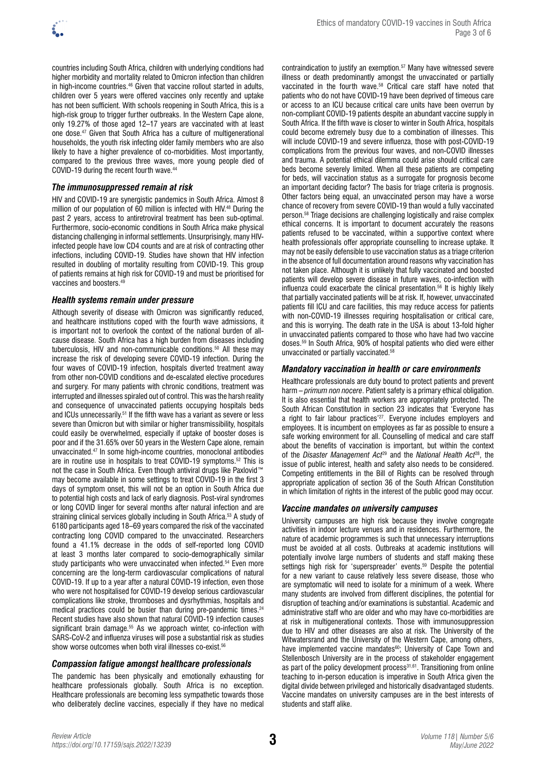

countries including South Africa, children with underlying conditions had higher morbidity and mortality related to Omicron infection than children in high-income countries.46 Given that vaccine rollout started in adults, children over 5 years were offered vaccines only recently and uptake has not been sufficient. With schools reopening in South Africa, this is a high-risk group to trigger further outbreaks. In the Western Cape alone, only 19.27% of those aged 12–17 years are vaccinated with at least one dose.47 Given that South Africa has a culture of multigenerational households, the youth risk infecting older family members who are also likely to have a higher prevalence of co-morbidities. Most importantly, compared to the previous three waves, more young people died of COVID-19 during the recent fourth wave.<sup>44</sup>

### *The immunosuppressed remain at risk*

HIV and COVID-19 are synergistic pandemics in South Africa. Almost 8 million of our population of 60 million is infected with HIV.<sup>48</sup> During the past 2 years, access to antiretroviral treatment has been sub-optimal. Furthermore, socio-economic conditions in South Africa make physical distancing challenging in informal settlements. Unsurprisingly, many HIVinfected people have low CD4 counts and are at risk of contracting other infections, including COVID-19. Studies have shown that HIV infection resulted in doubling of mortality resulting from COVID-19. This group of patients remains at high risk for COVID-19 and must be prioritised for vaccines and boosters.<sup>4</sup>

#### *Health systems remain under pressure*

Although severity of disease with Omicron was significantly reduced, and healthcare institutions coped with the fourth wave admissions, it is important not to overlook the context of the national burden of allcause disease. South Africa has a high burden from diseases including tuberculosis, HIV and non-communicable conditions.50 All these may increase the risk of developing severe COVID-19 infection. During the four waves of COVID-19 infection, hospitals diverted treatment away from other non-COVID conditions and de-escalated elective procedures and surgery. For many patients with chronic conditions, treatment was interrupted and illnesses spiraled out of control. This was the harsh reality and consequence of unvaccinated patients occupying hospitals beds and ICUs unnecessarily.51 If the fifth wave has a variant as severe or less severe than Omicron but with similar or higher transmissibility, hospitals could easily be overwhelmed, especially if uptake of booster doses is poor and if the 31.65% over 50 years in the Western Cape alone, remain unvaccinated.47 In some high-income countries, monoclonal antibodies are in routine use in hospitals to treat COVID-19 symptoms.<sup>52</sup> This is not the case in South Africa. Even though antiviral drugs like Paxlovid™ may become available in some settings to treat COVID-19 in the first 3 days of symptom onset, this will not be an option in South Africa due to potential high costs and lack of early diagnosis. Post-viral syndromes or long COVID linger for several months after natural infection and are straining clinical services globally including in South Africa.<sup>53</sup> A study of 6180 participants aged 18–69 years compared the risk of the vaccinated contracting long COVID compared to the unvaccinated. Researchers found a 41.1% decrease in the odds of self-reported long COVID at least 3 months later compared to socio-demographically similar study participants who were unvaccinated when infected.<sup>54</sup> Even more concerning are the long-term cardiovascular complications of natural COVID-19. If up to a year after a natural COVID-19 infection, even those who were not hospitalised for COVID-19 develop serious cardiovascular complications like stroke, thromboses and dysrhythmias, hospitals and medical practices could be busier than during pre-pandemic times.<sup>24</sup> Recent studies have also shown that natural COVID-19 infection causes significant brain damage.<sup>55</sup> As we approach winter, co-infection with SARS-CoV-2 and influenza viruses will pose a substantial risk as studies show worse outcomes when both viral illnesses co-exist.<sup>56</sup>

#### *Compassion fatigue amongst healthcare professionals*

The pandemic has been physically and emotionally exhausting for healthcare professionals globally. South Africa is no exception. Healthcare professionals are becoming less sympathetic towards those who deliberately decline vaccines, especially if they have no medical contraindication to justify an exemption.57 Many have witnessed severe illness or death predominantly amongst the unvaccinated or partially vaccinated in the fourth wave.58 Critical care staff have noted that patients who do not have COVID-19 have been deprived of timeous care or access to an ICU because critical care units have been overrun by non-compliant COVID-19 patients despite an abundant vaccine supply in South Africa. If the fifth wave is closer to winter in South Africa, hospitals could become extremely busy due to a combination of illnesses. This will include COVID-19 and severe influenza, those with post-COVID-19 complications from the previous four waves, and non-COVID illnesses and trauma. A potential ethical dilemma could arise should critical care beds become severely limited. When all these patients are competing for beds, will vaccination status as a surrogate for prognosis become an important deciding factor? The basis for triage criteria is prognosis. Other factors being equal, an unvaccinated person may have a worse chance of recovery from severe COVID-19 than would a fully vaccinated person.58 Triage decisions are challenging logistically and raise complex ethical concerns. It is important to document accurately the reasons patients refused to be vaccinated, within a supportive context where health professionals offer appropriate counselling to increase uptake. It may not be easily defensible to use vaccination status as a triage criterion in the absence of full documentation around reasons why vaccination has not taken place. Although it is unlikely that fully vaccinated and boosted patients will develop severe disease in future waves, co-infection with influenza could exacerbate the clinical presentation.56 It is highly likely that partially vaccinated patients will be at risk. If, however, unvaccinated patients fill ICU and care facilities, this may reduce access for patients with non-COVID-19 illnesses requiring hospitalisation or critical care, and this is worrying. The death rate in the USA is about 13-fold higher in unvaccinated patients compared to those who have had two vaccine doses.59 In South Africa, 90% of hospital patients who died were either unvaccinated or partially vaccinated.58

#### *Mandatory vaccination in health or care environments*

Healthcare professionals are duty bound to protect patients and prevent harm – *primum non nocere*. Patient safety is a primary ethical obligation. It is also essential that health workers are appropriately protected. The South African Constitution in section 23 indicates that 'Everyone has a right to fair labour practices<sup>'27</sup>. Everyone includes employers and employees. It is incumbent on employees as far as possible to ensure a safe working environment for all. Counselling of medical and care staff about the benefits of vaccination is important, but within the context of the *Disaster Management Act*29 and the *National Health Act*28, the issue of public interest, health and safety also needs to be considered. Competing entitlements in the Bill of Rights can be resolved through appropriate application of section 36 of the South African Constitution in which limitation of rights in the interest of the public good may occur.

#### *Vaccine mandates on university campuses*

University campuses are high risk because they involve congregate activities in indoor lecture venues and in residences. Furthermore, the nature of academic programmes is such that unnecessary interruptions must be avoided at all costs. Outbreaks at academic institutions will potentially involve large numbers of students and staff making these settings high risk for 'superspreader' events.<sup>59</sup> Despite the potential for a new variant to cause relatively less severe disease, those who are symptomatic will need to isolate for a minimum of a week. Where many students are involved from different disciplines, the potential for disruption of teaching and/or examinations is substantial. Academic and administrative staff who are older and who may have co-morbidities are at risk in multigenerational contexts. Those with immunosuppression due to HIV and other diseases are also at risk. The University of the Witwatersrand and the University of the Western Cape, among others, have implemented vaccine mandates<sup>60</sup>; University of Cape Town and Stellenbosch University are in the process of stakeholder engagement as part of the policy development process<sup>31,61</sup>. Transitioning from online teaching to in-person education is imperative in South Africa given the digital divide between privileged and historically disadvantaged students. Vaccine mandates on university campuses are in the best interests of students and staff alike.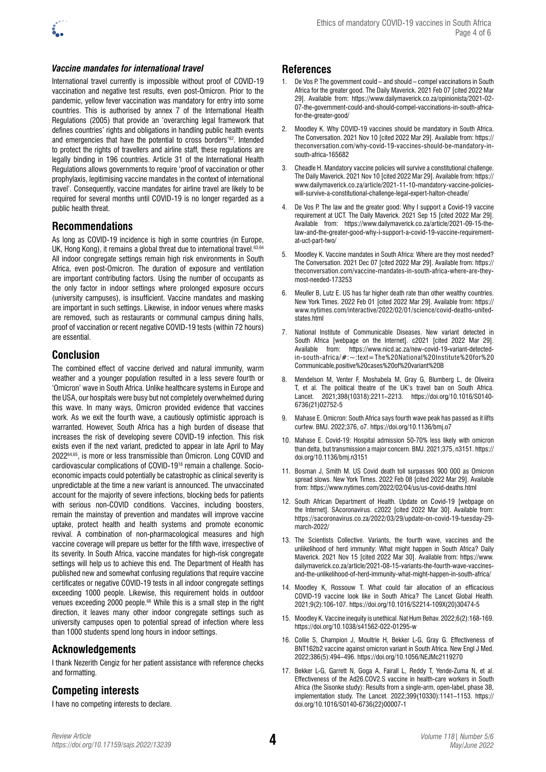

#### *Vaccine mandates for international travel*

International travel currently is impossible without proof of COVID-19 vaccination and negative test results, even post-Omicron. Prior to the pandemic, yellow fever vaccination was mandatory for entry into some countries. This is authorised by annex 7 of the International Health Regulations (2005) that provide an 'overarching legal framework that defines countries' rights and obligations in handling public health events and emergencies that have the potential to cross borders'<sup>62</sup>. Intended to protect the rights of travellers and airline staff, these regulations are legally binding in 196 countries. Article 31 of the International Health Regulations allows governments to require 'proof of vaccination or other prophylaxis, legitimising vaccine mandates in the context of international travel'. Consequently, vaccine mandates for airline travel are likely to be required for several months until COVID-19 is no longer regarded as a public health threat.

#### **Recommendations**

As long as COVID-19 incidence is high in some countries (in Europe, UK, Hong Kong), it remains a global threat due to international travel.<sup>63,64</sup> All indoor congregate settings remain high risk environments in South Africa, even post-Omicron. The duration of exposure and ventilation are important contributing factors. Using the number of occupants as the only factor in indoor settings where prolonged exposure occurs (university campuses), is insufficient. Vaccine mandates and masking are important in such settings. Likewise, in indoor venues where masks are removed, such as restaurants or communal campus dining halls, proof of vaccination or recent negative COVID-19 tests (within 72 hours) are essential.

### **Conclusion**

The combined effect of vaccine derived and natural immunity, warm weather and a younger population resulted in a less severe fourth or 'Omicron' wave in South Africa. Unlike healthcare systems in Europe and the USA, our hospitals were busy but not completely overwhelmed during this wave. In many ways, Omicron provided evidence that vaccines work. As we exit the fourth wave, a cautiously optimistic approach is warranted. However, South Africa has a high burden of disease that increases the risk of developing severe COVID-19 infection. This risk exists even if the next variant, predicted to appear in late April to May 202264,65, is more or less transmissible than Omicron. Long COVID and cardiovascular complications of COVID-1918 remain a challenge. Socioeconomic impacts could potentially be catastrophic as clinical severity is unpredictable at the time a new variant is announced. The unvaccinated account for the majority of severe infections, blocking beds for patients with serious non-COVID conditions. Vaccines, including boosters, remain the mainstay of prevention and mandates will improve vaccine uptake, protect health and health systems and promote economic revival. A combination of non-pharmacological measures and high vaccine coverage will prepare us better for the fifth wave, irrespective of its severity. In South Africa, vaccine mandates for high-risk congregate settings will help us to achieve this end. The Department of Health has published new and somewhat confusing regulations that require vaccine certificates or negative COVID-19 tests in all indoor congregate settings exceeding 1000 people. Likewise, this requirement holds in outdoor venues exceeding 2000 people.<sup>66</sup> While this is a small step in the right direction, it leaves many other indoor congregate settings such as university campuses open to potential spread of infection where less than 1000 students spend long hours in indoor settings.

### **Acknowledgements**

I thank Nezerith Cengiz for her patient assistance with reference checks and formatting.

### **Competing interests**

I have no competing interests to declare.

### **References**

- 1. De Vos P. The government could and should compel vaccinations in South Africa for the greater good. The Daily Maverick. 2021 Feb 07 [cited 2022 Mar 29]. Available from: [https://www.dailymaverick.co.za/opinionista/2021-02-](https://www.dailymaverick.co.za/opinionista/2021-02-07-the-government-could-and-should-compel-vaccinations-in-south-africa-for-the-greater-good/) [07-the-government-could-and-should-compel-vaccinations-in-south-africa](https://www.dailymaverick.co.za/opinionista/2021-02-07-the-government-could-and-should-compel-vaccinations-in-south-africa-for-the-greater-good/)[for-the-greater-good/](https://www.dailymaverick.co.za/opinionista/2021-02-07-the-government-could-and-should-compel-vaccinations-in-south-africa-for-the-greater-good/)
- 2. Moodley K. Why COVID-19 vaccines should be mandatory in South Africa. The Conversation. 2021 Nov 10 [cited 2022 Mar 29]. Available from: [https://](https://theconversation.com/why-covid-19-vaccines-should-be-mandatory-in-south-africa-165682) [theconversation.com/why-covid-19-vaccines-should-be-mandatory-in](https://theconversation.com/why-covid-19-vaccines-should-be-mandatory-in-south-africa-165682)[south-africa-165682](https://theconversation.com/why-covid-19-vaccines-should-be-mandatory-in-south-africa-165682)
- 3. Cheadle H. Mandatory vaccine policies will survive a constitutional challenge. The Daily Maverick. 2021 Nov 10 [cited 2022 Mar 29]. Available from: [https://](https://www.dailymaverick.co.za/article/2021-11-10-mandatory-vaccine-policies-will-survive-a-constitutional-challenge-legal-expert-halton-cheadle/) [www.dailymaverick.co.za/article/2021-11-10-mandatory-vaccine-policies](https://www.dailymaverick.co.za/article/2021-11-10-mandatory-vaccine-policies-will-survive-a-constitutional-challenge-legal-expert-halton-cheadle/)[will-survive-a-constitutional-challenge-legal-expert-halton-cheadle/](https://www.dailymaverick.co.za/article/2021-11-10-mandatory-vaccine-policies-will-survive-a-constitutional-challenge-legal-expert-halton-cheadle/)
- 4. De Vos P. The law and the greater good: Why I support a Covid-19 vaccine requirement at UCT. The Daily Maverick. 2021 Sep 15 [cited 2022 Mar 29]. Available from: [https://www.dailymaverick.co.za/article/2021-09-15-the](https://www.dailymaverick.co.za/article/2021-09-15-the-law-and-the-greater-good-why-i-support-a-covid-19-vaccine-requirement-at-uct-part-two/)[law-and-the-greater-good-why-i-support-a-covid-19-vaccine-requirement](https://www.dailymaverick.co.za/article/2021-09-15-the-law-and-the-greater-good-why-i-support-a-covid-19-vaccine-requirement-at-uct-part-two/)[at-uct-part-two/](https://www.dailymaverick.co.za/article/2021-09-15-the-law-and-the-greater-good-why-i-support-a-covid-19-vaccine-requirement-at-uct-part-two/)
- 5. Moodley K. Vaccine mandates in South Africa: Where are they most needed? The Conversation. 2021 Dec 07 [cited 2022 Mar 29]. Available from: [https://](https://theconversation.com/vaccine-mandates-in-south-africa-where-are-they-most-needed-173253) [theconversation.com/vaccine-mandates-in-south-africa-where-are-they](https://theconversation.com/vaccine-mandates-in-south-africa-where-are-they-most-needed-173253)[most-needed-173253](https://theconversation.com/vaccine-mandates-in-south-africa-where-are-they-most-needed-173253)
- 6. Meuller B, Lutz E. US has far higher death rate than other wealthy countries. New York Times. 2022 Feb 01 [cited 2022 Mar 29]. Available from: [https://](https://www.nytimes.com/interactive/2022/02/01/science/covid-deaths-united-states.html) [www.nytimes.com/interactive/2022/02/01/science/covid-deaths-united](https://www.nytimes.com/interactive/2022/02/01/science/covid-deaths-united-states.html)[states.html](https://www.nytimes.com/interactive/2022/02/01/science/covid-deaths-united-states.html)
- 7. National Institute of Communicable Diseases. New variant detected in South Africa [webpage on the Internet]. c2021 [cited 2022 Mar 29]. Available from: [https://www.nicd.ac.za/new-covid-19-variant-detected](https://www.nicd.ac.za/new-covid-19-variant-detected-in-south-africa/#:~:text=The%20National%20Institute%20for%20Communicable,positive%20cases%20of%20variant%20B)[in-south-africa/#:~:text=The%20National%20Institute%20for%20](https://www.nicd.ac.za/new-covid-19-variant-detected-in-south-africa/#:~:text=The%20National%20Institute%20for%20Communicable,positive%20cases%20of%20variant%20B) [Communicable,positive%20cases%20of%20variant%20B](https://www.nicd.ac.za/new-covid-19-variant-detected-in-south-africa/#:~:text=The%20National%20Institute%20for%20Communicable,positive%20cases%20of%20variant%20B)
- 8. Mendelson M, Venter F, Moshabela M, Gray G, Blumberg L, de Oliveira T, et al. The political theatre of the UK's travel ban on South Africa. Lancet. 2021;398(10318):2211–2213. [https://doi.org/10.1016/S0140-](https://doi.org/10.1016/S0140-6736(21)02752-5) [6736\(21\)02752-5](https://doi.org/10.1016/S0140-6736(21)02752-5)
- 9. Mahase E. Omicron: South Africa says fourth wave peak has passed as it lifts curfew. BMJ. 2022;376, o7. <https://doi.org/10.1136/bmj.o7>
- 10. Mahase E. Covid-19: Hospital admission 50-70% less likely with omicron than delta, but transmission a major concern. BMJ. 2021;375, n3151. [https://](https://doi.org/10.1136/bmj.n3151) [doi.org/10.1136/bmj.n3151](https://doi.org/10.1136/bmj.n3151)
- 11. Bosman J, Smith M. US Covid death toll surpasses 900 000 as Omicron spread slows. New York Times. 2022 Feb 08 [cited 2022 Mar 29]. Available from: <https://www.nytimes.com/2022/02/04/us/us-covid-deaths.html>
- 12. South African Department of Health. Update on Covid-19 [webpage on the Internet]. SAcoronavirus. c2022 [cited 2022 Mar 30]. Available from: [https://sacoronavirus.co.za/2022/03/29/update-on-covid-19-tuesday-29](https://sacoronavirus.co.za/2022/03/29/update-on-covid-19-tuesday-29-march-2022/) [march-2022/](https://sacoronavirus.co.za/2022/03/29/update-on-covid-19-tuesday-29-march-2022/)
- 13. The Scientists Collective. Variants, the fourth wave, vaccines and the unlikelihood of herd immunity: What might happen in South Africa? Daily Maverick. 2021 Nov 15 [cited 2022 Mar 30]. Available from: [https://www.](https://www.dailymaverick.co.za/article/2021-08-15-variants-the-fourth-wave-vaccines-and-the-unlikelihood-of-herd-immunity-what-might-happen-in-south-africa/) [dailymaverick.co.za/article/2021-08-15-variants-the-fourth-wave-vaccines](https://www.dailymaverick.co.za/article/2021-08-15-variants-the-fourth-wave-vaccines-and-the-unlikelihood-of-herd-immunity-what-might-happen-in-south-africa/)[and-the-unlikelihood-of-herd-immunity-what-might-happen-in-south-africa/](https://www.dailymaverick.co.za/article/2021-08-15-variants-the-fourth-wave-vaccines-and-the-unlikelihood-of-herd-immunity-what-might-happen-in-south-africa/)
- 14. Moodley K, Rossouw T. What could fair allocation of an efficacious COVID-19 vaccine look like in South Africa? The Lancet Global Health. 2021;9(2):106-107. [https://doi.org/10.1016/S2214-109X\(20\)30474-5](https://doi.org/10.1016/S2214-109X(20)30474-5)
- 15. Moodley K. Vaccine inequity is unethical. Nat Hum Behav. 2022;6(2):168-169. <https://doi.org/10.1038/s41562-022-01295-w>
- 16. Collie S, Champion J, Moultrie H, Bekker L-G, Gray G. Effectiveness of BNT162b2 vaccine against omicron variant in South Africa. New Engl J Med. 2022;386(5):494–496. <https://doi.org/10.1056/NEJMc2119270>
- 17. Bekker L-G, Garrett N, Goga A, Fairall L, Reddy T, Yende-Zuma N, et al. Effectiveness of the Ad26.COV2.S vaccine in health-care workers in South Africa (the Sisonke study): Results from a single-arm, open-label, phase 3B, implementation study. The Lancet. 2022;399(10330):1141–1153. [https://](https://doi.org/10.1016/S0140-6736(22)00007-1) [doi.org/10.1016/S0140-6736\(22\)00007-1](https://doi.org/10.1016/S0140-6736(22)00007-1)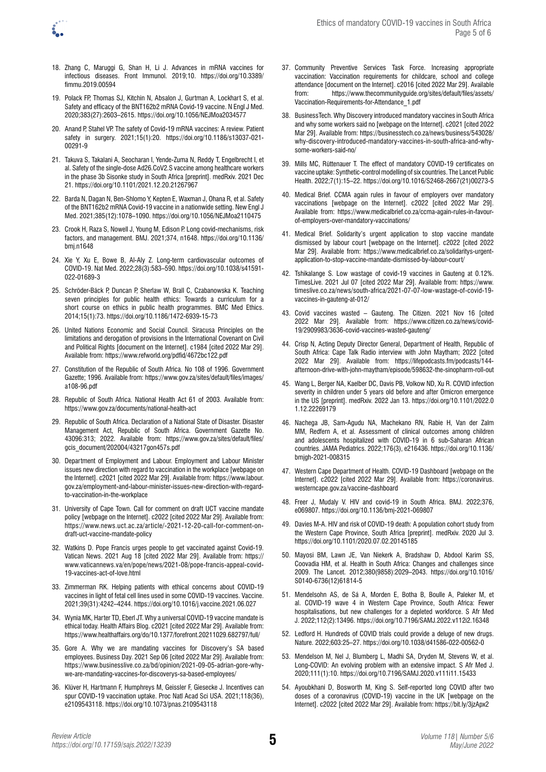

- 18. Zhang C, Maruggi G, Shan H, Li J. Advances in mRNA vaccines for infectious diseases. Front Immunol. 2019;10. [https://doi.org/10.3389/](https://doi.org/10.3389/fimmu.2019.00594) [fimmu.2019.00594](https://doi.org/10.3389/fimmu.2019.00594)
- 19. Polack FP, Thomas SJ, Kitchin N, Absalon J, Gurtman A, Lockhart S, et al. Safety and efficacy of the BNT162b2 mRNA Covid-19 vaccine. N Engl J Med. 2020;383(27):2603–2615. <https://doi.org/10.1056/NEJMoa2034577>
- 20. Anand P, Stahel VP. The safety of Covid-19 mRNA vaccines: A review. Patient safety in surgery. 2021;15(1):20. [https://doi.org/10.1186/s13037-021-](https://doi.org/10.1186/s13037-021-00291-9) [00291-9](https://doi.org/10.1186/s13037-021-00291-9)
- 21. Takuva S, Takalani A, Seocharan I, Yende-Zuma N, Reddy T, Engelbrecht I, et al. Safety of the single-dose Ad26.CoV2.S vaccine among healthcare workers in the phase 3b Sisonke study in South Africa [preprint]. medRxiv. 2021 Dec 21. <https://doi.org/10.1101/2021.12.20.21267967>
- 22. Barda N, Dagan N, Ben-Shlomo Y, Kepten E, Waxman J, Ohana R, et al. Safety of the BNT162b2 mRNA Covid-19 vaccine in a nationwide setting. New Engl J Med. 2021;385(12):1078–1090. <https://doi.org/10.1056/NEJMoa2110475>
- 23. Crook H, Raza S, Nowell J, Young M, Edison P. Long covid-mechanisms, risk factors, and management. BMJ. 2021;374, n1648. [https://doi.org/10.1136/](https://doi.org/10.1136/bmj.n1648) [bmj.n1648](https://doi.org/10.1136/bmj.n1648)
- 24. Xie Y, Xu E, Bowe B, Al-Aly Z. Long-term cardiovascular outcomes of COVID-19. Nat Med. 2022;28(3):583–590. [https://doi.org/10.1038/s41591-](https://doi.org/10.1038/s41591-022-01689-3) [022-01689-3](https://doi.org/10.1038/s41591-022-01689-3)
- 25. Schröder-Bäck P, Duncan P, Sherlaw W, Brall C, Czabanowska K. Teaching seven principles for public health ethics: Towards a curriculum for a short course on ethics in public health programmes. BMC Med Ethics. 2014;15(1):73. <https://doi.org/10.1186/1472-6939-15-73>
- 26. United Nations Economic and Social Council. Siracusa Principles on the limitations and derogation of provisions in the International Covenant on Civil and Political Rights [document on the Internet]. c1984 [cited 2022 Mar 29]. Available from: <https://www.refworld.org/pdfid/4672bc122.pdf>
- 27. Constitution of the Republic of South Africa. No 108 of 1996. Government Gazette; 1996. Available from: [https://www.gov.za/sites/default/files/images/](https://www.gov.za/sites/default/files/images/a108-96.pdf) [a108-96.pdf](https://www.gov.za/sites/default/files/images/a108-96.pdf)
- 28. Republic of South Africa. National Health Act 61 of 2003. Available from: <https://www.gov.za/documents/national-health-act>
- 29. Republic of South Africa. Declaration of a National State of Disaster. Disaster Management Act, Republic of South Africa. Government Gazette No. 43096:313; 2022. Available from: [https://www.gov.za/sites/default/files/](https://www.gov.za/sites/default/files/gcis_document/202004/43217gon457s.pdf) [gcis\\_document/202004/43217gon457s.pdf](https://www.gov.za/sites/default/files/gcis_document/202004/43217gon457s.pdf)
- 30. Department of Employment and Labour. Employment and Labour Minister issues new direction with regard to vaccination in the workplace [webpage on the Internet]. c2021 [cited 2022 Mar 29]. Available from: [https://www.labour.](https://www.labour.gov.za/employment-and-labour-minister-issues-new-direction-with-regard-to-vaccination-in-the-workplace) [gov.za/employment-and-labour-minister-issues-new-direction-with-regard](https://www.labour.gov.za/employment-and-labour-minister-issues-new-direction-with-regard-to-vaccination-in-the-workplace)[to-vaccination-in-the-workplace](https://www.labour.gov.za/employment-and-labour-minister-issues-new-direction-with-regard-to-vaccination-in-the-workplace)
- 31. University of Cape Town. Call for comment on draft UCT vaccine mandate policy [webpage on the Internet]. c2022 [cited 2022 Mar 29]. Available from: [https://www.news.uct.ac.za/article/-2021-12-20-call-for-comment-on](https://www.news.uct.ac.za/article/-2021-12-20-call-for-comment-on-draft-uct-vaccine-mandate-policy)[draft-uct-vaccine-mandate-policy](https://www.news.uct.ac.za/article/-2021-12-20-call-for-comment-on-draft-uct-vaccine-mandate-policy)
- 32. Watkins D. Pope Francis urges people to get vaccinated against Covid-19. Vatican News. 2021 Aug 18 [cited 2022 Mar 29]. Available from: [https://](https://www.vaticannews.va/en/pope/news/2021-08/pope-francis-appeal-covid-19-vaccines-act-of-love.html) [www.vaticannews.va/en/pope/news/2021-08/pope-francis-appeal-covid-](https://www.vaticannews.va/en/pope/news/2021-08/pope-francis-appeal-covid-19-vaccines-act-of-love.html)[19-vaccines-act-of-love.html](https://www.vaticannews.va/en/pope/news/2021-08/pope-francis-appeal-covid-19-vaccines-act-of-love.html)
- 33. Zimmerman RK. Helping patients with ethical concerns about COVID-19 vaccines in light of fetal cell lines used in some COVID-19 vaccines. Vaccine. 2021;39(31):4242–4244. <https://doi.org/10.1016/j.vaccine.2021.06.027>
- 34. Wynia MK, Harter TD, Eberl JT. Why a universal COVID-19 vaccine mandate is ethical today. Health Affairs Blog. c2021 [cited 2022 Mar 29]. Available from: <https://www.healthaffairs.org/do/10.1377/forefront.20211029.682797/full/>
- 35. Gore A. Why we are mandating vaccines for Discovery's SA based employees. Business Day. 2021 Sep 06 [cited 2022 Mar 29]. Available from: [https://www.businesslive.co.za/bd/opinion/2021-09-05-adrian-gore-why](https://www.businesslive.co.za/bd/opinion/2021-09-05-adrian-gore-why-we-are-mandating-vaccines-for-discoverys-sa-based-employees/)[we-are-mandating-vaccines-for-discoverys-sa-based-employees/](https://www.businesslive.co.za/bd/opinion/2021-09-05-adrian-gore-why-we-are-mandating-vaccines-for-discoverys-sa-based-employees/)
- 36. Klüver H, Hartmann F, Humphreys M, Geissler F, Giesecke J. Incentives can spur COVID-19 vaccination uptake. Proc Natl Acad Sci USA. 2021;118(36), e2109543118.<https://doi.org/10.1073/pnas.2109543118>
- 37. Community Preventive Services Task Force. Increasing appropriate vaccination: Vaccination requirements for childcare, school and college attendance [document on the Internet]. c2016 [cited 2022 Mar 29]. Available from: [https://www.thecommunityguide.org/sites/default/files/assets/](https://www.thecommunityguide.org/sites/default/files/assets/Vaccination-Requirements-for-Attendance_1.pdf) [Vaccination-Requirements-for-Attendance\\_1.pdf](https://www.thecommunityguide.org/sites/default/files/assets/Vaccination-Requirements-for-Attendance_1.pdf)
- 38. BusinessTech. Why Discovery introduced mandatory vaccines in South Africa and why some workers said no [webpage on the Internet]. c2021 [cited 2022 Mar 29]. Available from: [https://businesstech.co.za/news/business/543028/](https://businesstech.co.za/news/business/543028/why-discovery-introduced-mandatory-vaccines-in-south-africa-and-why-some-workers-said-no/) [why-discovery-introduced-mandatory-vaccines-in-south-africa-and-why](https://businesstech.co.za/news/business/543028/why-discovery-introduced-mandatory-vaccines-in-south-africa-and-why-some-workers-said-no/)[some-workers-said-no/](https://businesstech.co.za/news/business/543028/why-discovery-introduced-mandatory-vaccines-in-south-africa-and-why-some-workers-said-no/)
- 39. Mills MC, Rüttenauer T. The effect of mandatory COVID-19 certificates on vaccine uptake: Synthetic-control modelling of six countries. The Lancet Public Health. 2022;7(1):15–22. [https://doi.org/10.1016/S2468-2667\(21\)00273-5](https://doi.org/10.1016/S2468-2667(21)00273-5)
- 40. Medical Brief. CCMA again rules in favour of employers over mandatory vaccinations [webpage on the Internet]. c2022 [cited 2022 Mar 29]. Available from: [https://www.medicalbrief.co.za/ccma-again-rules-in-favour](https://www.medicalbrief.co.za/ccma-again-rules-in-favour-of-employers-over-mandatory-vaccinations/)[of-employers-over-mandatory-vaccinations/](https://www.medicalbrief.co.za/ccma-again-rules-in-favour-of-employers-over-mandatory-vaccinations/)
- 41. Medical Brief. Solidarity's urgent application to stop vaccine mandate dismissed by labour court [webpage on the Internet]. c2022 [cited 2022 Mar 29]. Available from: [https://www.medicalbrief.co.za/solidaritys-urgent](https://www.medicalbrief.co.za/solidaritys-urgent-application-to-stop-vaccine-mandate-dismissed-by-labour-court/)[application-to-stop-vaccine-mandate-dismissed-by-labour-court/](https://www.medicalbrief.co.za/solidaritys-urgent-application-to-stop-vaccine-mandate-dismissed-by-labour-court/)
- 42. Tshikalange S. Low wastage of covid-19 vaccines in Gauteng at 0.12%. TimesLive. 2021 Jul 07 [cited 2022 Mar 29]. Available from: [https://www.](https://www.timeslive.co.za/news/south-africa/2021-07-07-low-wastage-of-covid-19-vaccines-in-gauteng-at-012/) [timeslive.co.za/news/south-africa/2021-07-07-low-wastage-of-covid-19](https://www.timeslive.co.za/news/south-africa/2021-07-07-low-wastage-of-covid-19-vaccines-in-gauteng-at-012/) [vaccines-in-gauteng-at-012/](https://www.timeslive.co.za/news/south-africa/2021-07-07-low-wastage-of-covid-19-vaccines-in-gauteng-at-012/)
- 43. Covid vaccines wasted Gauteng. The Citizen. 2021 Nov 16 [cited 2022 Mar 29]. Available from: [https://www.citizen.co.za/news/covid-](https://www.citizen.co.za/news/covid-19/2909983/3636-covid-vaccines-wasted-gauteng/)[19/2909983/3636-covid-vaccines-wasted-gauteng/](https://www.citizen.co.za/news/covid-19/2909983/3636-covid-vaccines-wasted-gauteng/)
- 44. Crisp N, Acting Deputy Director General, Department of Health, Republic of South Africa: Cape Talk Radio interview with John Maytham; 2022 [cited 2022 Mar 29]. Available from: [https://lifepodcasts.fm/podcasts/144](https://lifepodcasts.fm/podcasts/144-afternoon-drive-with-john-maytham/episode/598632-the-sinopharm-roll-out) [afternoon-drive-with-john-maytham/episode/598632-the-sinopharm-roll-out](https://lifepodcasts.fm/podcasts/144-afternoon-drive-with-john-maytham/episode/598632-the-sinopharm-roll-out)
- 45. Wang L, Berger NA, Kaelber DC, Davis PB, Volkow ND, Xu R. COVID infection severity in children under 5 years old before and after Omicron emergence in the US [preprint]. medRxiv. 2022 Jan 13. [https://doi.org/10.1101/2022.0](https://doi.org/10.1101/2022.01.12.22269179) [1.12.22269179](https://doi.org/10.1101/2022.01.12.22269179)
- 46. Nachega JB, Sam-Agudu NA, Machekano RN, Rabie H, Van der Zalm MM, Redfern A, et al. Assessment of clinical outcomes among children and adolescents hospitalized with COVID-19 in 6 sub-Saharan African countries. JAMA Pediatrics. 2022;176(3), e216436. [https://doi.org/10.1136/](https://doi.org/10.1136/bmjgh-2021-008315) [bmjgh-2021-008315](https://doi.org/10.1136/bmjgh-2021-008315)
- 47. Western Cape Department of Health. COVID-19 Dashboard [webpage on the Internet]. c2022 [cited 2022 Mar 29]. Available from: [https://coronavirus.](https://coronavirus.westerncape.gov.za/vaccine-dashboard) [westerncape.gov.za/vaccine-dashboard](https://coronavirus.westerncape.gov.za/vaccine-dashboard)
- 48. Freer J, Mudaly V. HIV and covid-19 in South Africa. BMJ. 2022;376, e069807.<https://doi.org/10.1136/bmj-2021-069807>
- 49. Davies M-A. HIV and risk of COVID-19 death: A population cohort study from the Western Cape Province, South Africa [preprint]. medRxiv. 2020 Jul 3. <https://doi.org/10.1101/2020.07.02.20145185>
- 50. Mayosi BM, Lawn JE, Van Niekerk A, Bradshaw D, Abdool Karim SS, Coovadia HM, et al. Health in South Africa: Changes and challenges since 2009. The Lancet. 2012;380(9858):2029–2043. [https://doi.org/10.1016/](https://doi.org/10.1016/S0140-6736(12)61814-5) [S0140-6736\(12\)61814-5](https://doi.org/10.1016/S0140-6736(12)61814-5)
- 51. Mendelsohn AS, de Sá A, Morden E, Botha B, Boulle A, Paleker M, et al. COVID-19 wave 4 in Western Cape Province, South Africa: Fewer hospitalisations, but new challenges for a depleted workforce. S Afr Med J. 2022;112(2):13496.<https://doi.org/10.7196/SAMJ.2022.v112i2.16348>
- 52. Ledford H. Hundreds of COVID trials could provide a deluge of new drugs. Nature. 2022;603:25–27. <https://doi.org/10.1038/d41586-022-00562-0>
- 53. Mendelson M, Nel J, Blumberg L, Madhi SA, Dryden M, Stevens W, et al. Long-COVID: An evolving problem with an extensive impact. S Afr Med J. 2020;111(1):10.<https://doi.org/10.7196/SAMJ.2020.v111i11.15433>
- 54. Ayoubkhani D, Bosworth M, King S. Self-reported long COVID after two doses of a coronavirus (COVID-19) vaccine in the UK [webpage on the Internet]. c2022 [cited 2022 Mar 29]. Available from: https://bit.ly/3jzApx2